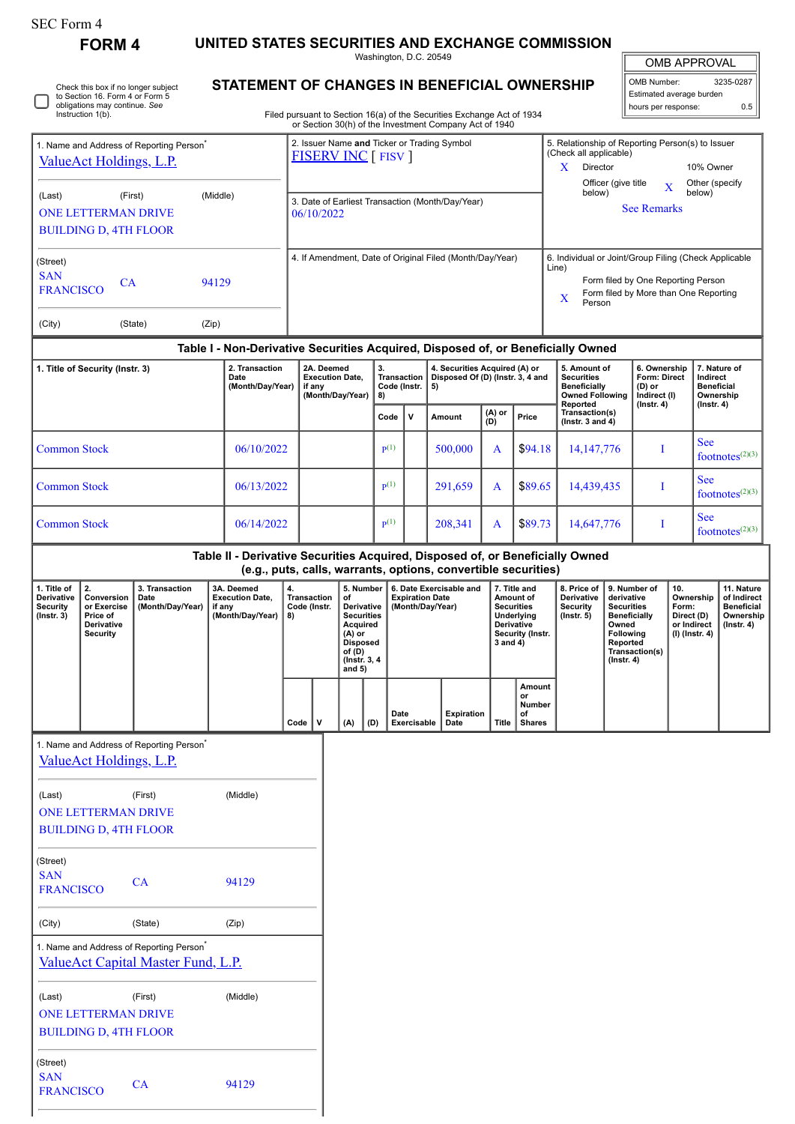| SEC Form 4                                                                                  |                                                                              |                                                                                            |                                                                                  |    |                                                                          |                    |                                                                                                                      |                                                |                                                                       |                                                                                                                                  |               |                                                                                                                                                    |                                                                                                                                                            |                     |                                                                       |                         |                                                                                                                                               |                    |  |
|---------------------------------------------------------------------------------------------|------------------------------------------------------------------------------|--------------------------------------------------------------------------------------------|----------------------------------------------------------------------------------|----|--------------------------------------------------------------------------|--------------------|----------------------------------------------------------------------------------------------------------------------|------------------------------------------------|-----------------------------------------------------------------------|----------------------------------------------------------------------------------------------------------------------------------|---------------|----------------------------------------------------------------------------------------------------------------------------------------------------|------------------------------------------------------------------------------------------------------------------------------------------------------------|---------------------|-----------------------------------------------------------------------|-------------------------|-----------------------------------------------------------------------------------------------------------------------------------------------|--------------------|--|
|                                                                                             | <b>FORM4</b>                                                                 |                                                                                            | UNITED STATES SECURITIES AND EXCHANGE COMMISSION                                 |    |                                                                          |                    |                                                                                                                      | Washington, D.C. 20549                         |                                                                       |                                                                                                                                  |               |                                                                                                                                                    |                                                                                                                                                            |                     |                                                                       | <b>OMB APPROVAL</b>     |                                                                                                                                               |                    |  |
| Check this box if no longer subject<br>to Section 16. Form 4 or Form 5                      |                                                                              |                                                                                            |                                                                                  |    | STATEMENT OF CHANGES IN BENEFICIAL OWNERSHIP                             |                    |                                                                                                                      |                                                |                                                                       |                                                                                                                                  |               |                                                                                                                                                    | OMB Number:<br>3235-0287<br>Estimated average burden                                                                                                       |                     |                                                                       |                         |                                                                                                                                               |                    |  |
|                                                                                             | obligations may continue. See<br>Instruction 1(b).                           |                                                                                            |                                                                                  |    |                                                                          |                    |                                                                                                                      |                                                |                                                                       | Filed pursuant to Section 16(a) of the Securities Exchange Act of 1934<br>or Section 30(h) of the Investment Company Act of 1940 |               |                                                                                                                                                    |                                                                                                                                                            |                     | hours per response:                                                   |                         |                                                                                                                                               | 0.5                |  |
|                                                                                             | ValueAct Holdings, L.P.                                                      | 1. Name and Address of Reporting Person <sup>*</sup>                                       |                                                                                  |    |                                                                          |                    | <b>FISERV INC [ FISV ]</b>                                                                                           |                                                |                                                                       | 2. Issuer Name and Ticker or Trading Symbol                                                                                      |               |                                                                                                                                                    | 5. Relationship of Reporting Person(s) to Issuer<br>(Check all applicable)                                                                                 |                     |                                                                       |                         |                                                                                                                                               |                    |  |
|                                                                                             |                                                                              |                                                                                            |                                                                                  |    |                                                                          |                    |                                                                                                                      |                                                |                                                                       |                                                                                                                                  |               |                                                                                                                                                    | Director<br>X.                                                                                                                                             | Officer (give title |                                                                       | $\overline{\mathbf{X}}$ | 10% Owner<br>Other (specify                                                                                                                   |                    |  |
| (Middle)<br>(Last)<br>(First)<br><b>ONE LETTERMAN DRIVE</b><br><b>BUILDING D, 4TH FLOOR</b> |                                                                              |                                                                                            |                                                                                  |    | below)<br>3. Date of Earliest Transaction (Month/Day/Year)<br>06/10/2022 |                    |                                                                                                                      |                                                |                                                                       |                                                                                                                                  |               |                                                                                                                                                    |                                                                                                                                                            | <b>See Remarks</b>  |                                                                       | below)                  |                                                                                                                                               |                    |  |
| (Street)<br><b>SAN</b><br>CA<br>94129<br><b>FRANCISCO</b>                                   |                                                                              |                                                                                            |                                                                                  |    | 4. If Amendment, Date of Original Filed (Month/Day/Year)                 |                    |                                                                                                                      |                                                |                                                                       |                                                                                                                                  |               | 6. Individual or Joint/Group Filing (Check Applicable<br>Line)<br>Form filed by One Reporting Person<br>Form filed by More than One Reporting<br>X |                                                                                                                                                            |                     |                                                                       |                         |                                                                                                                                               |                    |  |
| (City)                                                                                      |                                                                              | (State)                                                                                    | (Zip)                                                                            |    |                                                                          |                    |                                                                                                                      |                                                |                                                                       |                                                                                                                                  |               |                                                                                                                                                    | Person                                                                                                                                                     |                     |                                                                       |                         |                                                                                                                                               |                    |  |
|                                                                                             |                                                                              |                                                                                            | Table I - Non-Derivative Securities Acquired, Disposed of, or Beneficially Owned |    |                                                                          |                    |                                                                                                                      |                                                |                                                                       |                                                                                                                                  |               |                                                                                                                                                    |                                                                                                                                                            |                     |                                                                       |                         |                                                                                                                                               |                    |  |
| 2. Transaction<br>1. Title of Security (Instr. 3)<br>Date<br>(Month/Day/Year)               |                                                                              |                                                                                            |                                                                                  |    | 2A. Deemed<br>if any                                                     |                    | <b>Execution Date,</b><br>(Month/Day/Year)                                                                           | 3.<br><b>Transaction</b><br>Code (Instr.<br>8) |                                                                       | 4. Securities Acquired (A) or<br>Disposed Of (D) (Instr. 3, 4 and<br>5)                                                          |               |                                                                                                                                                    | 5. Amount of<br><b>Securities</b><br><b>Beneficially</b><br><b>Owned Following</b>                                                                         |                     | 6. Ownership<br>Form: Direct<br>(D) or<br>Indirect (I)                |                         | 7. Nature of<br>Indirect<br><b>Beneficial</b><br>Ownership                                                                                    |                    |  |
|                                                                                             |                                                                              |                                                                                            |                                                                                  |    |                                                                          |                    |                                                                                                                      | Code                                           | $\mathsf{v}$                                                          | Amount                                                                                                                           | (A) or<br>(D) | Price                                                                                                                                              | Reported<br>Transaction(s)<br>( $lnstr. 3 and 4$ )                                                                                                         |                     | $($ lnstr. 4 $)$                                                      |                         | $($ lnstr. 4 $)$                                                                                                                              |                    |  |
| <b>Common Stock</b>                                                                         |                                                                              | 06/10/2022                                                                                 |                                                                                  |    |                                                                          | $\mathbf{p}^{(1)}$ |                                                                                                                      | 500,000                                        | A                                                                     | \$94.18                                                                                                                          | 14, 147, 776  |                                                                                                                                                    |                                                                                                                                                            | <b>See</b><br>I     |                                                                       | footnotes $(2)(3)$      |                                                                                                                                               |                    |  |
| <b>Common Stock</b>                                                                         |                                                                              | 06/13/2022                                                                                 |                                                                                  |    |                                                                          | $\mathbf{p}(1)$    |                                                                                                                      | 291,659                                        | A                                                                     | \$89.65                                                                                                                          |               | 14,439,435                                                                                                                                         |                                                                                                                                                            | <b>See</b><br>I     |                                                                       | footnotes $(2)(3)$      |                                                                                                                                               |                    |  |
| <b>Common Stock</b>                                                                         |                                                                              |                                                                                            | 06/14/2022                                                                       |    |                                                                          |                    |                                                                                                                      | p(1)                                           |                                                                       | 208,341                                                                                                                          | A             | \$89.73                                                                                                                                            | 14,647,776                                                                                                                                                 |                     | I                                                                     |                         | <b>See</b>                                                                                                                                    | footnotes $(2)(3)$ |  |
|                                                                                             |                                                                              |                                                                                            | Table II - Derivative Securities Acquired, Disposed of, or Beneficially Owned    |    |                                                                          |                    |                                                                                                                      |                                                |                                                                       | (e.g., puts, calls, warrants, options, convertible securities)                                                                   |               |                                                                                                                                                    |                                                                                                                                                            |                     |                                                                       |                         |                                                                                                                                               |                    |  |
| 1. Title of<br><b>Derivative</b><br><b>Security</b><br>(Instr. 3)                           | 2.<br>Conversion<br>or Exercise<br>Price of<br>Derivative<br><b>Security</b> | 3. Transaction<br>Date<br>(Month/Day/Year)                                                 | 3A. Deemed<br><b>Execution Date,</b><br>if any<br>(Month/Day/Year)   8)          | 4. | <b>Transaction</b><br>Code (Instr.                                       |                    | 5. Number<br>of<br>Derivative<br>Securities<br>Acquired<br>(A) or<br>Disposed<br>of (D)<br>(Instr. 3, 4)<br>and $5)$ |                                                | 6. Date Exercisable and<br><b>Expiration Date</b><br>(Month/Day/Year) |                                                                                                                                  | $3$ and $4)$  | 7. Title and<br>Amount of<br><b>Securities</b><br>Underlying<br>Derivative<br>Security (Instr.                                                     | 8. Price of<br>Derivative<br>derivative<br><b>Security</b><br><b>Securities</b><br>(Instr. 5)<br>Owned<br><b>Following</b><br>Reported<br>$($ Instr. 4 $)$ |                     | 9. Number of<br>10.<br>Form:<br><b>Beneficially</b><br>Transaction(s) |                         | 11. Nature<br>Ownership<br>of Indirect<br><b>Beneficial</b><br>Direct (D)<br>Ownership<br>or Indirect<br>$($ lnstr. 4 $)$<br>$(I)$ (Instr. 4) |                    |  |
|                                                                                             |                                                                              |                                                                                            |                                                                                  |    | Code                                                                     | $\mathsf{v}$       | (A)                                                                                                                  | Date<br>(D)                                    | Exercisable                                                           | <b>Expiration</b><br>Date                                                                                                        | <b>Title</b>  | Amount<br>or<br>Number<br>of<br><b>Shares</b>                                                                                                      |                                                                                                                                                            |                     |                                                                       |                         |                                                                                                                                               |                    |  |
|                                                                                             | ValueAct Holdings, L.P.                                                      | 1. Name and Address of Reporting Person <sup>®</sup>                                       |                                                                                  |    |                                                                          |                    |                                                                                                                      |                                                |                                                                       |                                                                                                                                  |               |                                                                                                                                                    |                                                                                                                                                            |                     |                                                                       |                         |                                                                                                                                               |                    |  |
| (Last)                                                                                      |                                                                              | (First)                                                                                    | (Middle)                                                                         |    |                                                                          |                    |                                                                                                                      |                                                |                                                                       |                                                                                                                                  |               |                                                                                                                                                    |                                                                                                                                                            |                     |                                                                       |                         |                                                                                                                                               |                    |  |
|                                                                                             | <b>ONE LETTERMAN DRIVE</b><br><b>BUILDING D, 4TH FLOOR</b>                   |                                                                                            |                                                                                  |    |                                                                          |                    |                                                                                                                      |                                                |                                                                       |                                                                                                                                  |               |                                                                                                                                                    |                                                                                                                                                            |                     |                                                                       |                         |                                                                                                                                               |                    |  |
| (Street)<br><b>SAN</b>                                                                      |                                                                              | CA                                                                                         | 94129                                                                            |    |                                                                          |                    |                                                                                                                      |                                                |                                                                       |                                                                                                                                  |               |                                                                                                                                                    |                                                                                                                                                            |                     |                                                                       |                         |                                                                                                                                               |                    |  |
| <b>FRANCISCO</b>                                                                            |                                                                              |                                                                                            |                                                                                  |    |                                                                          |                    |                                                                                                                      |                                                |                                                                       |                                                                                                                                  |               |                                                                                                                                                    |                                                                                                                                                            |                     |                                                                       |                         |                                                                                                                                               |                    |  |
| (City)                                                                                      |                                                                              | (State)                                                                                    | (Zip)                                                                            |    |                                                                          |                    |                                                                                                                      |                                                |                                                                       |                                                                                                                                  |               |                                                                                                                                                    |                                                                                                                                                            |                     |                                                                       |                         |                                                                                                                                               |                    |  |
|                                                                                             |                                                                              | 1. Name and Address of Reporting Person <sup>*</sup><br>ValueAct Capital Master Fund, L.P. |                                                                                  |    |                                                                          |                    |                                                                                                                      |                                                |                                                                       |                                                                                                                                  |               |                                                                                                                                                    |                                                                                                                                                            |                     |                                                                       |                         |                                                                                                                                               |                    |  |
| (Last)                                                                                      | <b>ONE LETTERMAN DRIVE</b><br><b>BUILDING D, 4TH FLOOR</b>                   | (First)                                                                                    | (Middle)                                                                         |    |                                                                          |                    |                                                                                                                      |                                                |                                                                       |                                                                                                                                  |               |                                                                                                                                                    |                                                                                                                                                            |                     |                                                                       |                         |                                                                                                                                               |                    |  |
| (Street)                                                                                    |                                                                              |                                                                                            |                                                                                  |    |                                                                          |                    |                                                                                                                      |                                                |                                                                       |                                                                                                                                  |               |                                                                                                                                                    |                                                                                                                                                            |                     |                                                                       |                         |                                                                                                                                               |                    |  |

SAN

SAN CA 94129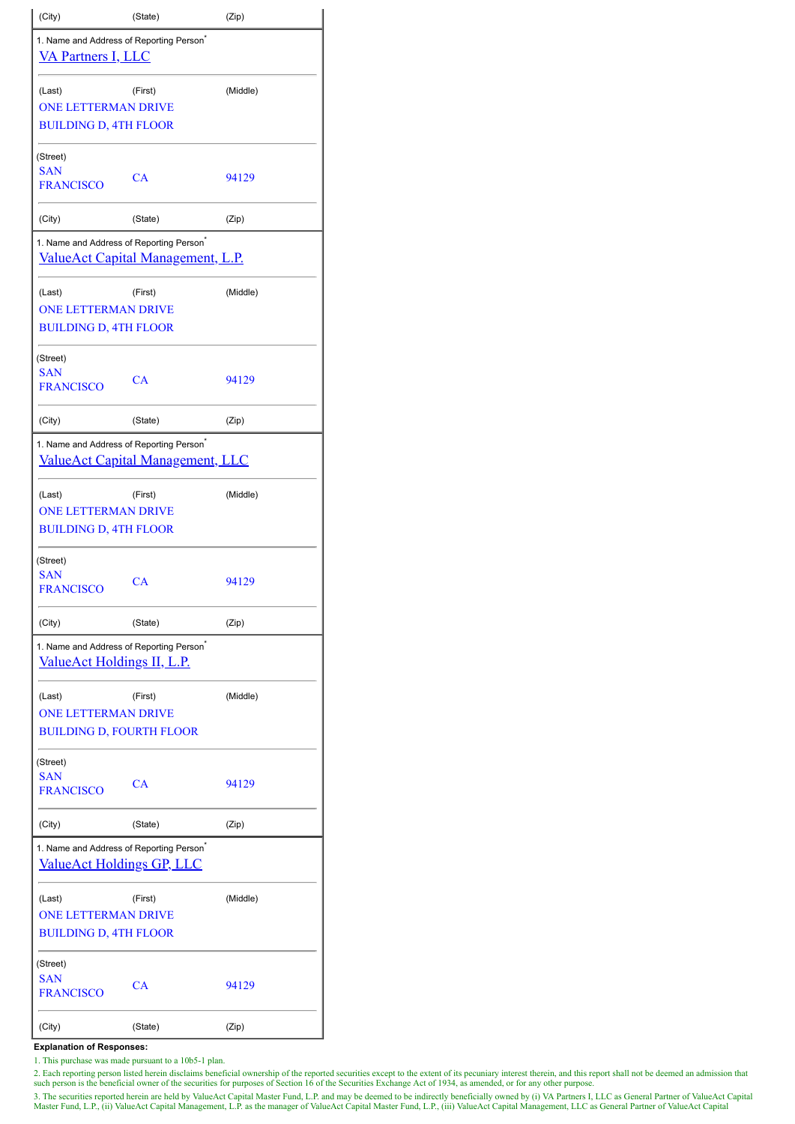| (City)                                                                                   | (State)                                  | (Zip)    |  |  |  |  |  |  |
|------------------------------------------------------------------------------------------|------------------------------------------|----------|--|--|--|--|--|--|
| 1. Name and Address of Reporting Person <sup>®</sup><br><b>VA Partners I, LLC</b>        |                                          |          |  |  |  |  |  |  |
| (Last)<br><b>ONE LETTERMAN DRIVE</b><br><b>BUILDING D, 4TH FLOOR</b>                     | (First)                                  | (Middle) |  |  |  |  |  |  |
| (Street)<br><b>SAN</b><br><b>FRANCISCO</b>                                               | CA                                       | 94129    |  |  |  |  |  |  |
| (City)                                                                                   | (State)                                  | (Zip)    |  |  |  |  |  |  |
| 1. Name and Address of Reporting Person <sup>*</sup>                                     | <b>ValueAct Capital Management, L.P.</b> |          |  |  |  |  |  |  |
| (Last)<br><b>ONE LETTERMAN DRIVE</b><br><b>BUILDING D, 4TH FLOOR</b>                     | (First)                                  | (Middle) |  |  |  |  |  |  |
| (Street)<br><b>SAN</b><br><b>FRANCISCO</b>                                               | CA                                       | 94129    |  |  |  |  |  |  |
| (City)                                                                                   | (State)                                  | (Zip)    |  |  |  |  |  |  |
| 1. Name and Address of Reporting Person <sup>*</sup><br>ValueAct Capital Management, LLC |                                          |          |  |  |  |  |  |  |
| (Last)<br><b>ONE LETTERMAN DRIVE</b><br><b>BUILDING D, 4TH FLOOR</b>                     | (First)                                  | (Middle) |  |  |  |  |  |  |
| (Street)<br><b>SAN</b><br><b>FRANCISCO</b>                                               | CA                                       | 94129    |  |  |  |  |  |  |
| (City)                                                                                   | (State)                                  | (Zip)    |  |  |  |  |  |  |
| 1. Name and Address of Reporting Person <sup>®</sup><br>ValueAct Holdings II, L.P.       |                                          |          |  |  |  |  |  |  |
| (Last)<br><b>ONE LETTERMAN DRIVE</b><br><b>BUILDING D, FOURTH FLOOR</b>                  | (First)                                  | (Middle) |  |  |  |  |  |  |
| (Street)<br><b>SAN</b><br><b>FRANCISCO</b>                                               | CA                                       | 94129    |  |  |  |  |  |  |
| (City)                                                                                   | (State)                                  | (Zip)    |  |  |  |  |  |  |
| 1. Name and Address of Reporting Person <sup>®</sup><br><b>ValueAct Holdings GP, LLC</b> |                                          |          |  |  |  |  |  |  |
| (Last)<br><b>ONE LETTERMAN DRIVE</b><br><b>BUILDING D, 4TH FLOOR</b>                     | (First)                                  | (Middle) |  |  |  |  |  |  |
| (Street)<br>SAN<br><b>FRANCISCO</b>                                                      | CA                                       | 94129    |  |  |  |  |  |  |
| (City)                                                                                   | (State)                                  | (Zip)    |  |  |  |  |  |  |

## **Explanation of Responses:**

1. This purchase was made pursuant to a 10b5-1 plan.

2. Each reporting person listed herein disclaims beneficial ownership of the reported securities except to the extent of its pecuniary interest therein, and this report shall not be deemed an admission that such person is

3. The securities reported herein are held by ValueAct Capital Master Fund, L.P. and may be deemed to be indirectly beneficially owned by (i) VA Partners I, LLC as General Partner of ValueAct Capital<br>Master Fund, L.P., (ii